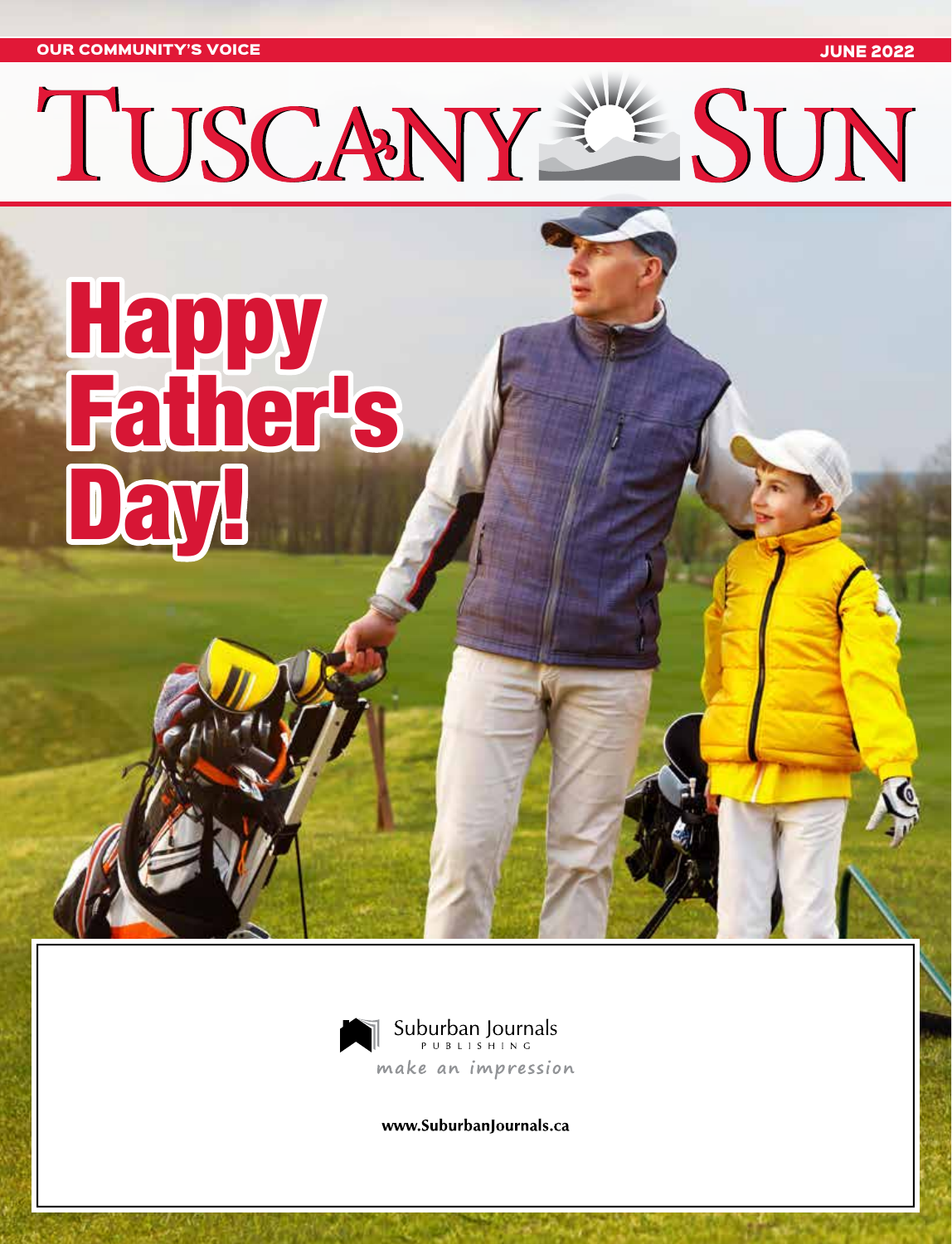OUR COMMUNITY'S VOICE JUNE 2022

l.

# **Party Replaces** Father's Day!



www.SuburbanJournals.ca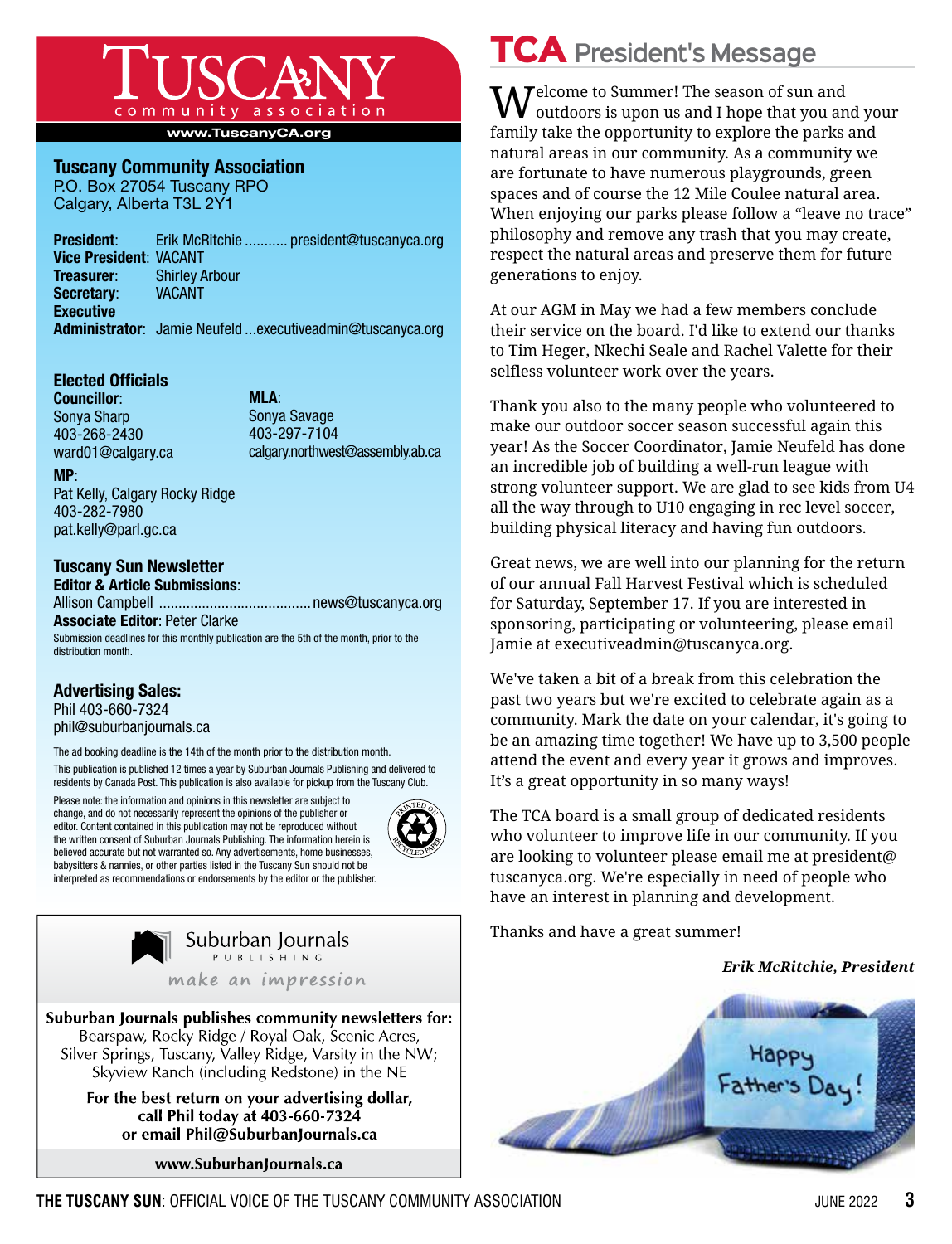

www.TuscanyCA.org

### Tuscany Community Association

P.O. Box 27054 Tuscany RPO Calgary, Alberta T3L 2Y1

|                               | <b>President:</b> Erik McRitchie  president@tuscanyca.org   |
|-------------------------------|-------------------------------------------------------------|
| <b>Vice President: VACANT</b> |                                                             |
| Treasurer:                    | <b>Shirley Arbour</b>                                       |
| Secretary:                    | <b>VACANT</b>                                               |
| <b>Executive</b>              |                                                             |
|                               | Administrator: Jamie Neufeld  executive admin@tuscanyca.org |
|                               |                                                             |

### Elected Officials

Councillor: Sonya Sharp 403-268-2430 ward01@calgary.ca

MLA: Sonya Savage 403-297-7104 calgary.northwest@assembly.ab.ca

MP:

Pat Kelly, Calgary Rocky Ridge 403-282-7980 pat.kelly@parl.gc.ca

### Tuscany Sun Newsletter

Editor & Article Submissions: Allison Campbell .......................................news@tuscanyca.org Associate Editor: Peter Clarke

Submission deadlines for this monthly publication are the 5th of the month, prior to the distribution month.

### Advertising Sales:

Phil 403-660-7324 phil@suburbanjournals.ca

The ad booking deadline is the 14th of the month prior to the distribution month.

This publication is published 12 times a year by Suburban Journals Publishing and delivered to residents by Canada Post. This publication is also available for pickup from the Tuscany Club.

Please note: the information and opinions in this newsletter are subject to change, and do not necessarily represent the opinions of the publisher or editor. Content contained in this publication may not be reproduced without the written consent of Suburban Journals Publishing. The information herein is believed accurate but not warranted so. Any advertisements, home businesses, babysitters & nannies, or other parties listed in the Tuscany Sun should not be interpreted as recommendations or endorsements by the editor or the publisher.



Suburban Journals PUBLISHING make an impression

Suburban Journals publishes community newsletters for: Bearspaw, Rocky Ridge / Royal Oak, Scenic Acres, Silver Springs, Tuscany, Valley Ridge, Varsity in the NW; Skyview Ranch (including Redstone) in the NE

> For the best return on your advertising dollar, call Phil today at 403-660-7324 or email Phil@SuburbanJournals.ca

> > www.SuburbanJournals.ca

# TCA **President's Message**

 $\mathbf{M}$ elcome to Summer! The season of sun and outdoors is upon us and I hope that you and your family take the opportunity to explore the parks and natural areas in our community. As a community we are fortunate to have numerous playgrounds, green spaces and of course the 12 Mile Coulee natural area. When enjoying our parks please follow a "leave no trace" philosophy and remove any trash that you may create, respect the natural areas and preserve them for future generations to enjoy.

At our AGM in May we had a few members conclude their service on the board. I'd like to extend our thanks to Tim Heger, Nkechi Seale and Rachel Valette for their selfless volunteer work over the years.

Thank you also to the many people who volunteered to make our outdoor soccer season successful again this year! As the Soccer Coordinator, Jamie Neufeld has done an incredible job of building a well-run league with strong volunteer support. We are glad to see kids from U4 all the way through to U10 engaging in rec level soccer, building physical literacy and having fun outdoors.

Great news, we are well into our planning for the return of our annual Fall Harvest Festival which is scheduled for Saturday, September 17. If you are interested in sponsoring, participating or volunteering, please email Jamie at executiveadmin@tuscanyca.org.

We've taken a bit of a break from this celebration the past two years but we're excited to celebrate again as a community. Mark the date on your calendar, it's going to be an amazing time together! We have up to 3,500 people attend the event and every year it grows and improves. It's a great opportunity in so many ways!

The TCA board is a small group of dedicated residents who volunteer to improve life in our community. If you are looking to volunteer please email me at president@ tuscanyca.org. We're especially in need of people who have an interest in planning and development.

Thanks and have a great summer!

### *Erik McRitchie, President*

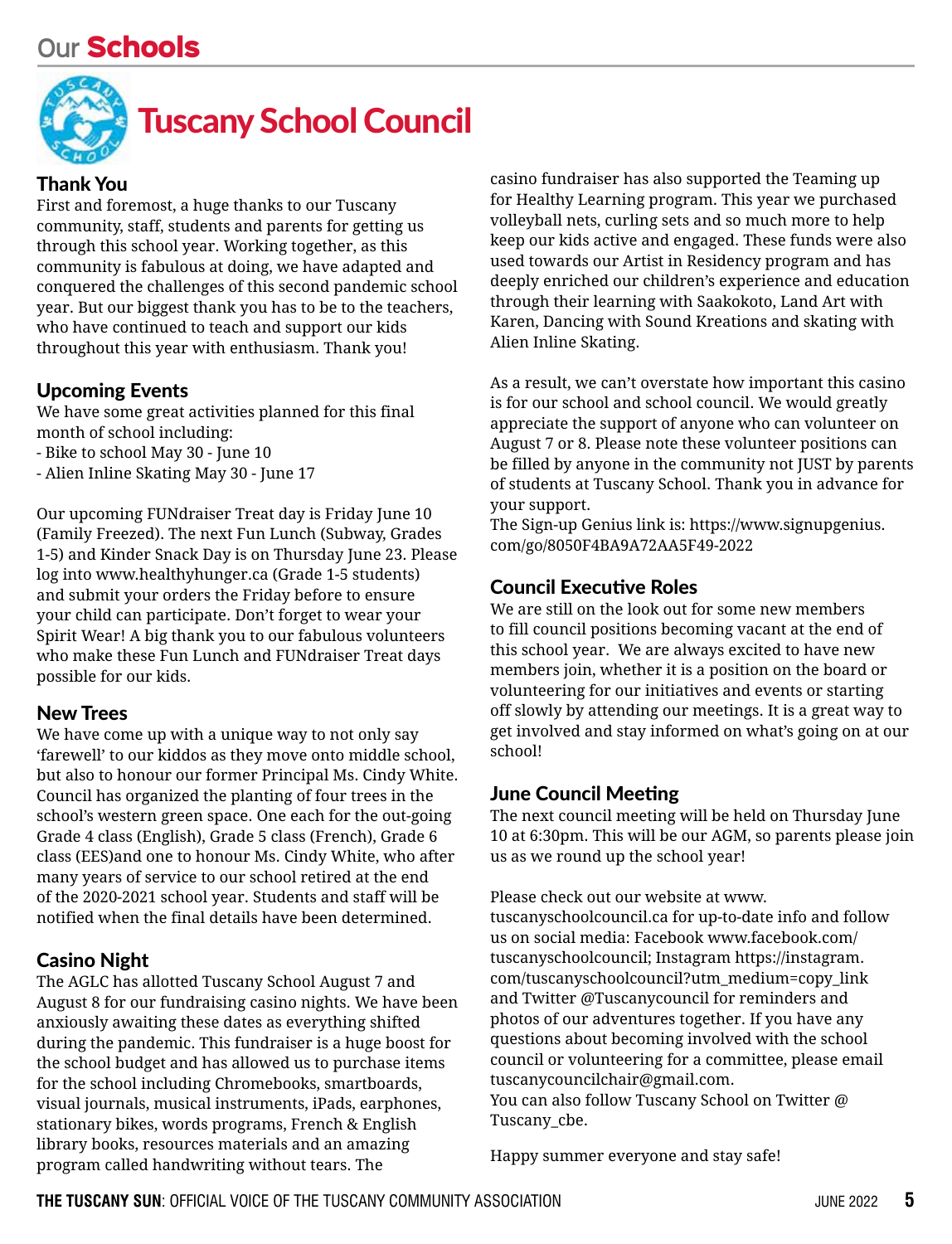## **Our** Schools



### Thank You

First and foremost, a huge thanks to our Tuscany community, staff, students and parents for getting us through this school year. Working together, as this community is fabulous at doing, we have adapted and conquered the challenges of this second pandemic school year. But our biggest thank you has to be to the teachers, who have continued to teach and support our kids throughout this year with enthusiasm. Thank you!

### Upcoming Events

We have some great activities planned for this final month of school including:

- Bike to school May 30 June 10
- Alien Inline Skating May 30 June 17

Our upcoming FUNdraiser Treat day is Friday June 10 (Family Freezed). The next Fun Lunch (Subway, Grades 1-5) and Kinder Snack Day is on Thursday June 23. Please log into www.healthyhunger.ca (Grade 1-5 students) and submit your orders the Friday before to ensure your child can participate. Don't forget to wear your Spirit Wear! A big thank you to our fabulous volunteers who make these Fun Lunch and FUNdraiser Treat days possible for our kids.

### New Trees

We have come up with a unique way to not only say 'farewell' to our kiddos as they move onto middle school, but also to honour our former Principal Ms. Cindy White. Council has organized the planting of four trees in the school's western green space. One each for the out-going Grade 4 class (English), Grade 5 class (French), Grade 6 class (EES)and one to honour Ms. Cindy White, who after many years of service to our school retired at the end of the 2020-2021 school year. Students and staff will be notified when the final details have been determined.

### Casino Night

The AGLC has allotted Tuscany School August 7 and August 8 for our fundraising casino nights. We have been anxiously awaiting these dates as everything shifted during the pandemic. This fundraiser is a huge boost for the school budget and has allowed us to purchase items for the school including Chromebooks, smartboards, visual journals, musical instruments, iPads, earphones, stationary bikes, words programs, French & English library books, resources materials and an amazing program called handwriting without tears. The

casino fundraiser has also supported the Teaming up for Healthy Learning program. This year we purchased volleyball nets, curling sets and so much more to help keep our kids active and engaged. These funds were also used towards our Artist in Residency program and has deeply enriched our children's experience and education through their learning with Saakokoto, Land Art with Karen, Dancing with Sound Kreations and skating with Alien Inline Skating.

As a result, we can't overstate how important this casino is for our school and school council. We would greatly appreciate the support of anyone who can volunteer on August 7 or 8. Please note these volunteer positions can be filled by anyone in the community not JUST by parents of students at Tuscany School. Thank you in advance for your support.

The Sign-up Genius link is: https://www.signupgenius. com/go/8050F4BA9A72AA5F49-2022

### Council Executive Roles

We are still on the look out for some new members to fill council positions becoming vacant at the end of this school year. We are always excited to have new members join, whether it is a position on the board or volunteering for our initiatives and events or starting off slowly by attending our meetings. It is a great way to get involved and stay informed on what's going on at our school!

### June Council Meeting

The next council meeting will be held on Thursday June 10 at 6:30pm. This will be our AGM, so parents please join us as we round up the school year!

Please check out our website at www.

tuscanyschoolcouncil.ca for up-to-date info and follow us on social media: Facebook www.facebook.com/ tuscanyschoolcouncil; Instagram https://instagram. com/tuscanyschoolcouncil?utm\_medium=copy\_link and Twitter @Tuscanycouncil for reminders and photos of our adventures together. If you have any questions about becoming involved with the school council or volunteering for a committee, please email tuscanycouncilchair@gmail.com.

You can also follow Tuscany School on Twitter @ Tuscany cbe.

Happy summer everyone and stay safe!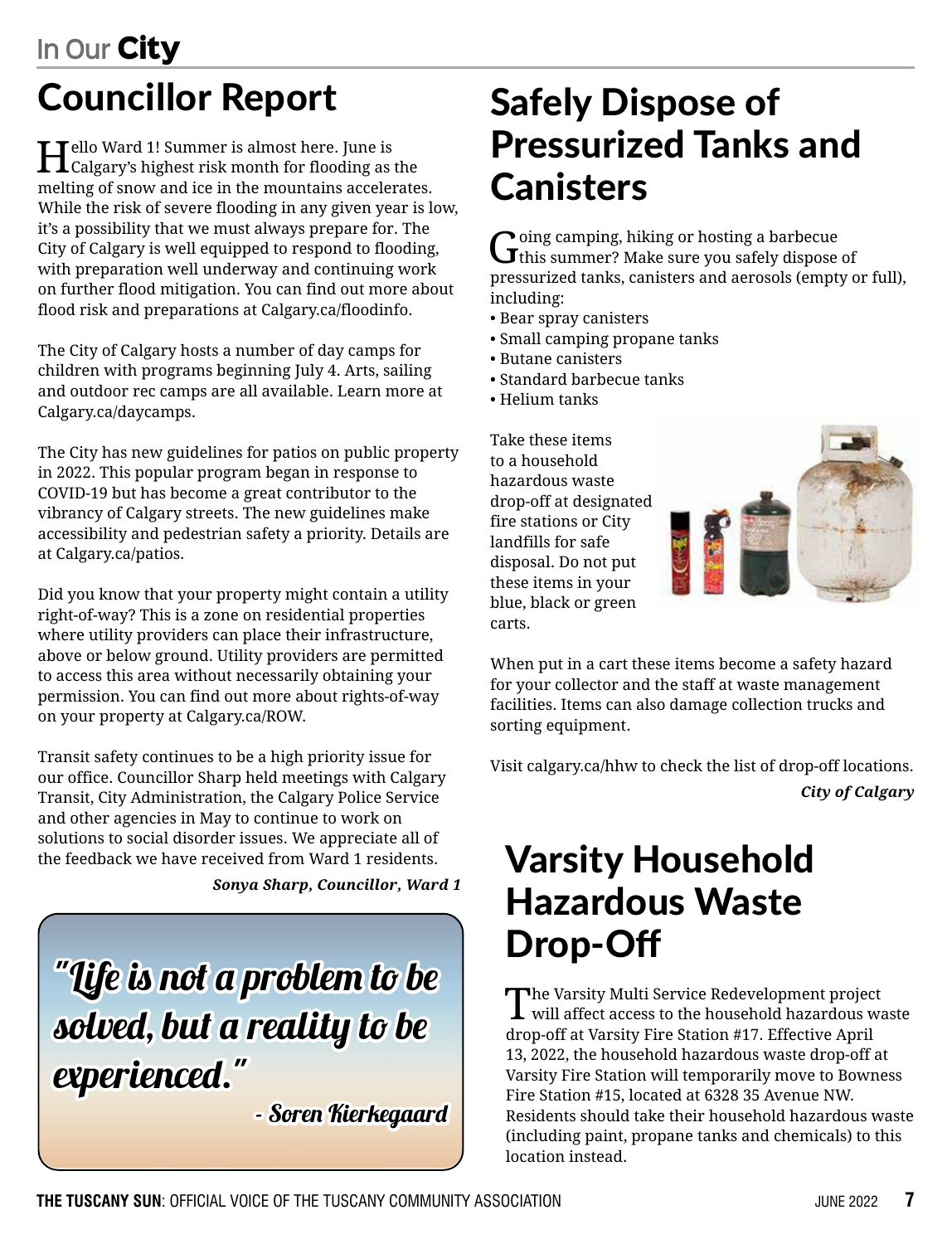# Councillor Report

Hello Ward 1! Summer is almost here. June is Calgary's highest risk month for flooding as the melting of snow and ice in the mountains accelerates. While the risk of severe flooding in any given year is low, it's a possibility that we must always prepare for. The City of Calgary is well equipped to respond to flooding, with preparation well underway and continuing work on further flood mitigation. You can find out more about flood risk and preparations at Calgary.ca/floodinfo.

The City of Calgary hosts a number of day camps for children with programs beginning July 4. Arts, sailing and outdoor rec camps are all available. Learn more at Calgary.ca/daycamps.

The City has new guidelines for patios on public property in 2022. This popular program began in response to COVID-19 but has become a great contributor to the vibrancy of Calgary streets. The new guidelines make accessibility and pedestrian safety a priority. Details are at Calgary.ca/patios.

Did you know that your property might contain a utility right-of-way? This is a zone on residential properties where utility providers can place their infrastructure, above or below ground. Utility providers are permitted to access this area without necessarily obtaining your permission. You can find out more about rights-of-way on your property at Calgary.ca/ROW.

Transit safety continues to be a high priority issue for our office. Councillor Sharp held meetings with Calgary Transit, City Administration, the Calgary Police Service and other agencies in May to continue to work on solutions to social disorder issues. We appreciate all of the feedback we have received from Ward 1 residents.

*Sonya Sharp, Councillor, Ward 1*

"Life is not a problem to be solved, but a reality to be experienced." - Soren Kierkegaard

# Safely Dispose of Pressurized Tanks and **Canisters**

 $G$  oing camping, hiking or hosting a barbecue of this summer? Make sure you safely dispose of pressurized tanks, canisters and aerosols (empty or full), including:

- Bear spray canisters
- Small camping propane tanks
- Butane canisters
- Standard barbecue tanks
- Helium tanks

Take these items to a household hazardous waste drop-off at designated fire stations or City landfills for safe disposal. Do not put these items in your blue, black or green carts.



When put in a cart these items become a safety hazard for your collector and the staff at waste management facilities. Items can also damage collection trucks and sorting equipment.

Visit calgary.ca/hhw to check the list of drop-off locations. *City of Calgary*

# Varsity Household Hazardous Waste Drop-Off

The Varsity Multi Service Redevelopment project will affect access to the household hazardous waste drop-off at Varsity Fire Station #17. Effective April 13, 2022, the household hazardous waste drop-off at Varsity Fire Station will temporarily move to Bowness Fire Station #15, located at 6328 35 Avenue NW. Residents should take their household hazardous waste (including paint, propane tanks and chemicals) to this location instead.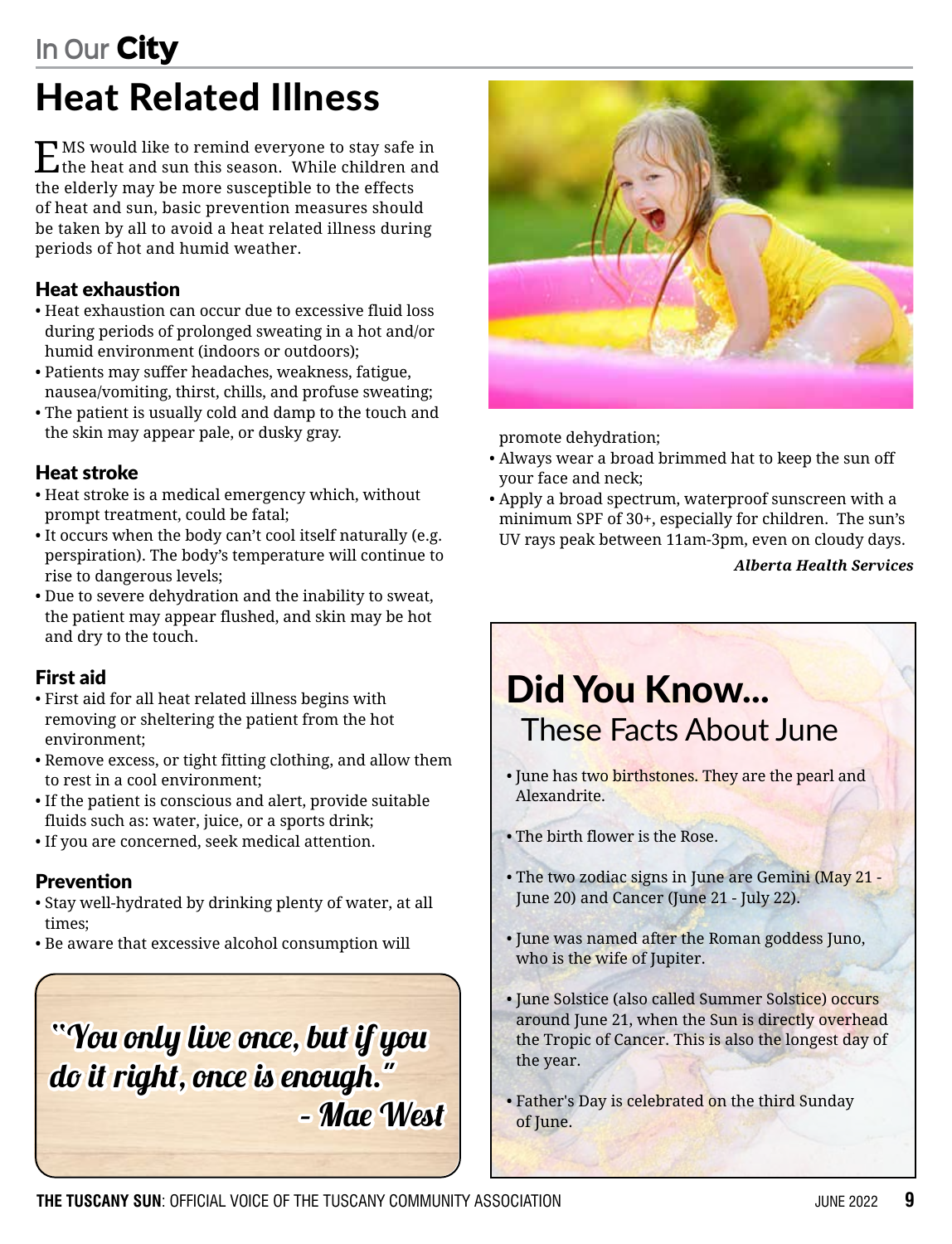# Heat Related Illness

EMS would like to remind everyone to stay safe in the heat and sun this season. While children and the elderly may be more susceptible to the effects of heat and sun, basic prevention measures should be taken by all to avoid a heat related illness during periods of hot and humid weather.

### Heat exhaustion

- Heat exhaustion can occur due to excessive fluid loss during periods of prolonged sweating in a hot and/or humid environment (indoors or outdoors);
- Patients may suffer headaches, weakness, fatigue, nausea/vomiting, thirst, chills, and profuse sweating;
- The patient is usually cold and damp to the touch and the skin may appear pale, or dusky gray.

### Heat stroke

- Heat stroke is a medical emergency which, without prompt treatment, could be fatal;
- It occurs when the body can't cool itself naturally (e.g. perspiration). The body's temperature will continue to rise to dangerous levels;
- Due to severe dehydration and the inability to sweat, the patient may appear flushed, and skin may be hot and dry to the touch.

### First aid

- First aid for all heat related illness begins with removing or sheltering the patient from the hot environment;
- Remove excess, or tight fitting clothing, and allow them to rest in a cool environment;
- If the patient is conscious and alert, provide suitable fluids such as: water, juice, or a sports drink;
- If you are concerned, seek medical attention.

### Prevention

- Stay well-hydrated by drinking plenty of water, at all times;
- Be aware that excessive alcohol consumption will

# "You only live once, but if you do it right, once is enough." – Mae West



promote dehydration;

- Always wear a broad brimmed hat to keep the sun off your face and neck;
- Apply a broad spectrum, waterproof sunscreen with a minimum SPF of 30+, especially for children. The sun's UV rays peak between 11am-3pm, even on cloudy days.

*Alberta Health Services*

# Did You Know... These Facts About June

- June has two birthstones. They are the pearl and Alexandrite.
- The birth flower is the Rose.
- The two zodiac signs in June are Gemini (May 21 June 20) and Cancer (June 21 - July 22).
- June was named after the Roman goddess Juno, who is the wife of Jupiter.
- June Solstice (also called Summer Solstice) occurs around June 21, when the Sun is directly overhead the Tropic of Cancer. This is also the longest day of the year.
- Father's Day is celebrated on the third Sunday of June.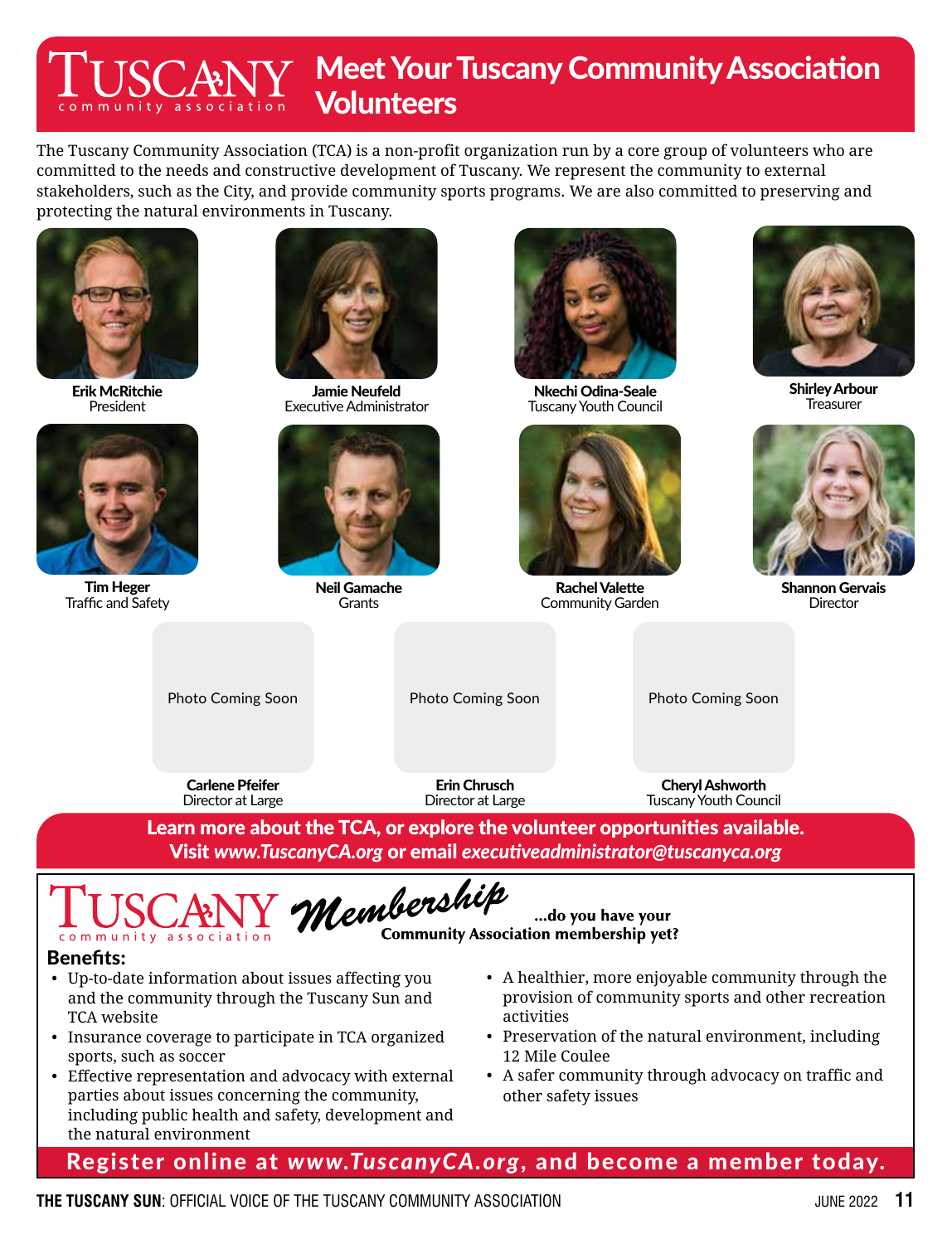### **Meet Your Tuscany Community Association CANY Volunteers**

The Tuscany Community Association (TCA) is a non-profit organization run by a core group of volunteers who are committed to the needs and constructive development of Tuscany. We represent the community to external stakeholders, such as the City, and provide community sports programs. We are also committed to preserving and protecting the natural environments in Tuscany.





Tim Heger Traffic and Safety



Jamie Neufeld Executive Administrator



Neil Gamache **Grants** 



Nkechi Odina-Seale Tuscany Youth Council



Rachel Valette Community Garden

...do you have your



Shirley Arbour **Treasurer** 



Shannon Gervais **Director** 

Photo Coming Soon

Photo Coming Soon

Photo Coming Soon

Carlene Pfeifer Director at Large

Erin Chrusch Director at Large

Cheryl Ashworth Tuscany Youth Council

Learn more about the TCA, or explore the volunteer opportunities available. Visit *www.TuscanyCA.org* or email *executiveadministrator@tuscanyca.org*

Membership community association

**Community Association membership yet?** 

### Benefits:

- Up-to-date information about issues affecting you and the community through the Tuscany Sun and TCA website
- Insurance coverage to participate in TCA organized sports, such as soccer
- Effective representation and advocacy with external parties about issues concerning the community, including public health and safety, development and the natural environment
- A healthier, more enjoyable community through the provision of community sports and other recreation activities
- Preservation of the natural environment, including 12 Mile Coulee
- A safer community through advocacy on traffic and other safety issues

Register online at *www.TuscanyCA.org*, and become a member today.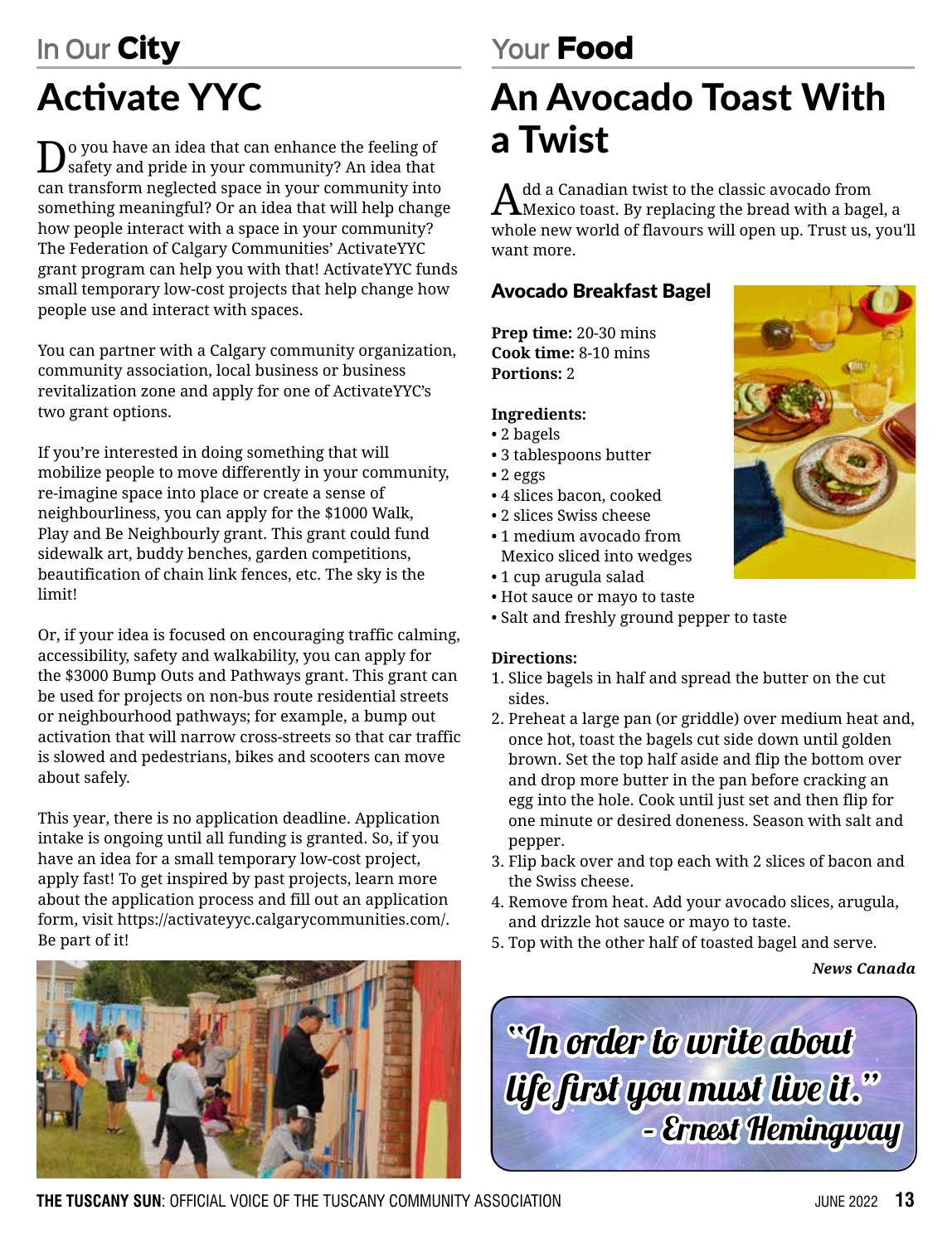# **In Our** City

# Activate YYC

 $\mathbf{D}$  you have an idea that can enhance the feeling of safety and pride in your community? An idea that can transform neglected space in your community into something meaningful? Or an idea that will help change how people interact with a space in your community? The Federation of Calgary Communities' ActivateYYC grant program can help you with that! ActivateYYC funds small temporary low-cost projects that help change how people use and interact with spaces.

You can partner with a Calgary community organization, community association, local business or business revitalization zone and apply for one of ActivateYYC's two grant options.

If you're interested in doing something that will mobilize people to move differently in your community, re-imagine space into place or create a sense of neighbourliness, you can apply for the \$1000 Walk, Play and Be Neighbourly grant. This grant could fund sidewalk art, buddy benches, garden competitions, beautification of chain link fences, etc. The sky is the limit!

Or, if your idea is focused on encouraging traffic calming, accessibility, safety and walkability, you can apply for the \$3000 Bump Outs and Pathways grant. This grant can be used for projects on non-bus route residential streets or neighbourhood pathways; for example, a bump out activation that will narrow cross-streets so that car traffic is slowed and pedestrians, bikes and scooters can move about safely.

This year, there is no application deadline. Application intake is ongoing until all funding is granted. So, if you have an idea for a small temporary low-cost project, apply fast! To get inspired by past projects, learn more about the application process and fill out an application form, visit https://activateyyc.calgarycommunities.com/. Be part of it!



# **Your** Food

# An Avocado Toast With a Twist

 $A^{\text{dd}}$  a Canadian twist to the classic avocado from  $A^{\text{dd}}$  a canadian twist to the classic avocado from whole new world of flavours will open up. Trust us, you'll want more.

### Avocado Breakfast Bagel

**Prep time:** 20-30 mins **Cook time:** 8-10 mins **Portions:** 2

### **Ingredients:**

- 2 bagels
- 3 tablespoons butter
- 2 eggs
- 4 slices bacon, cooked
- 2 slices Swiss cheese
- 1 medium avocado from Mexico sliced into wedges
- 1 cup arugula salad
- Hot sauce or mayo to taste
- Salt and freshly ground pepper to taste

### **Directions:**

- 1. Slice bagels in half and spread the butter on the cut sides.
- 2. Preheat a large pan (or griddle) over medium heat and, once hot, toast the bagels cut side down until golden brown. Set the top half aside and flip the bottom over and drop more butter in the pan before cracking an egg into the hole. Cook until just set and then flip for one minute or desired doneness. Season with salt and pepper.
- 3. Flip back over and top each with 2 slices of bacon and the Swiss cheese.
- 4. Remove from heat. Add your avocado slices, arugula, and drizzle hot sauce or mayo to taste.
- 5. Top with the other half of toasted bagel and serve.

*News Canada*